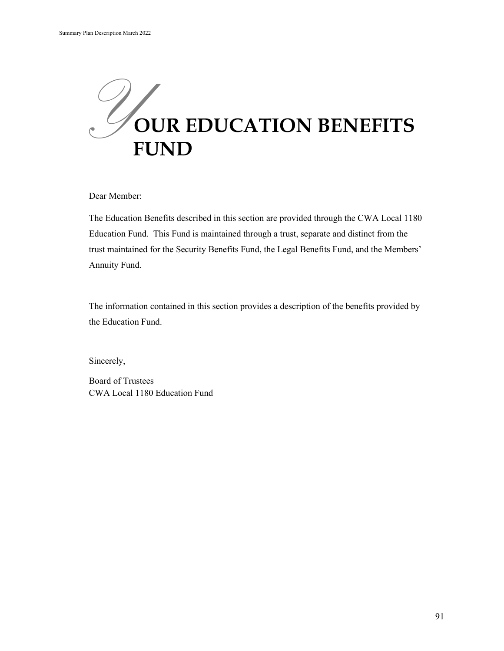

Dear Member:

The Education Benefits described in this section are provided through the CWA Local 1180 Education Fund. This Fund is maintained through a trust, separate and distinct from the trust maintained for the Security Benefits Fund, the Legal Benefits Fund, and the Members' Annuity Fund.

The information contained in this section provides a description of the benefits provided by the Education Fund.

Sincerely,

Board of Trustees CWA Local 1180 Education Fund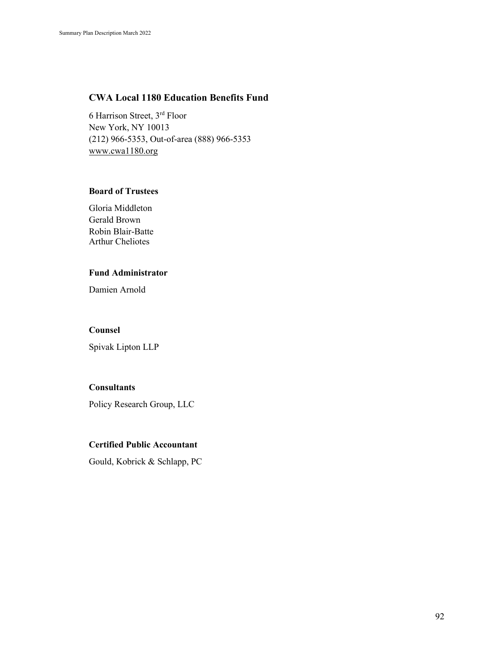### **CWA Local 1180 Education Benefits Fund**

6 Harrison Street, 3rd Floor New York, NY 10013 (212) 966-5353, Out-of-area (888) 966-5353 [www.cwa1180.org](http://www.cwa1180.org/)

#### **Board of Trustees**

Gloria Middleton Gerald Brown Robin Blair-Batte Arthur Cheliotes

### **Fund Administrator**

Damien Arnold

#### **Counsel**

Spivak Lipton LLP

#### **Consultants**

Policy Research Group, LLC

### **Certified Public Accountant**

Gould, Kobrick & Schlapp, PC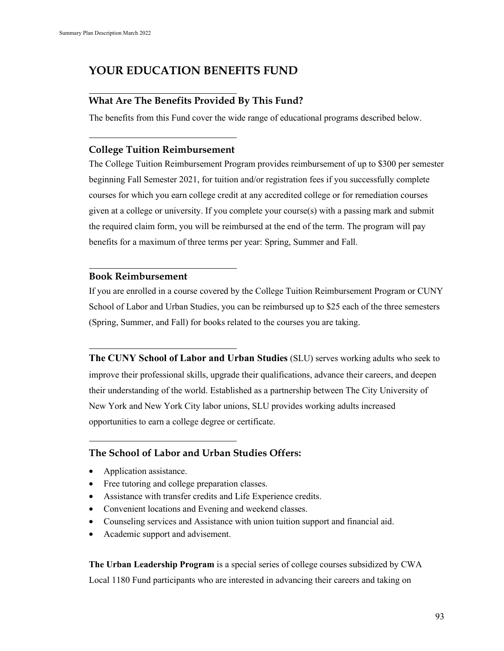# **YOUR EDUCATION BENEFITS FUND**

# **What Are The Benefits Provided By This Fund?**

The benefits from this Fund cover the wide range of educational programs described below.

## **College Tuition Reimbursement**

The College Tuition Reimbursement Program provides reimbursement of up to \$300 per semester beginning Fall Semester 2021, for tuition and/or registration fees if you successfully complete courses for which you earn college credit at any accredited college or for remediation courses given at a college or university. If you complete your course(s) with a passing mark and submit the required claim form, you will be reimbursed at the end of the term. The program will pay benefits for a maximum of three terms per year: Spring, Summer and Fall.

### **Book Reimbursement**

If you are enrolled in a course covered by the College Tuition Reimbursement Program or CUNY School of Labor and Urban Studies, you can be reimbursed up to \$25 each of the three semesters (Spring, Summer, and Fall) for books related to the courses you are taking.

**The CUNY School of Labor and Urban Studies** (SLU) serves working adults who seek to improve their professional skills, upgrade their qualifications, advance their careers, and deepen their understanding of the world. Established as a partnership between The City University of New York and New York City labor unions, SLU provides working adults increased opportunities to earn a college degree or certificate.

# **The School of Labor and Urban Studies Offers:**

- Application assistance.
- Free tutoring and college preparation classes.
- Assistance with transfer credits and Life Experience credits.
- Convenient locations and Evening and weekend classes.
- Counseling services and Assistance with union tuition support and financial aid.
- Academic support and advisement.

**The Urban Leadership Program** is a special series of college courses subsidized by CWA Local 1180 Fund participants who are interested in advancing their careers and taking on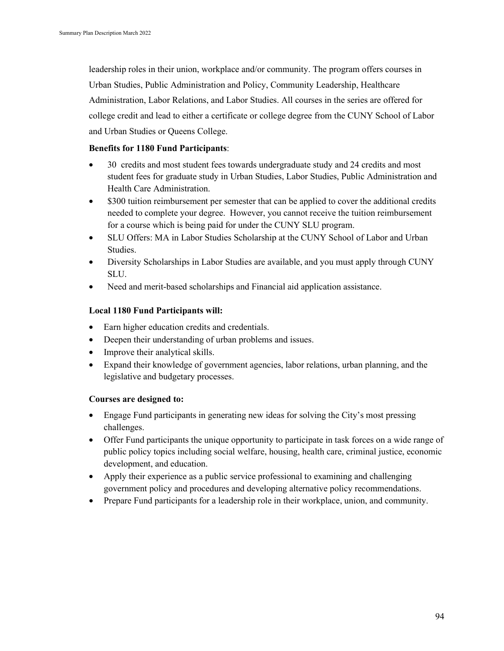leadership roles in their union, workplace and/or community. The program offers courses in Urban Studies, Public Administration and Policy, Community Leadership, Healthcare Administration, Labor Relations, and Labor Studies. All courses in the series are offered for college credit and lead to either a certificate or college degree from the CUNY School of Labor and Urban Studies or Queens College.

#### **Benefits for 1180 Fund Participants**:

- 30 credits and most student fees towards undergraduate study and 24 credits and most student fees for graduate study in Urban Studies, Labor Studies, Public Administration and Health Care Administration.
- \$300 tuition reimbursement per semester that can be applied to cover the additional credits needed to complete your degree. However, you cannot receive the tuition reimbursement for a course which is being paid for under the CUNY SLU program.
- SLU Offers: MA in Labor Studies Scholarship at the CUNY School of Labor and Urban Studies.
- Diversity Scholarships in Labor Studies are available, and you must apply through CUNY SLU.
- Need and merit-based scholarships and Financial aid application assistance.

#### **Local 1180 Fund Participants will:**

- Earn higher education credits and credentials.
- Deepen their understanding of urban problems and issues.
- Improve their analytical skills.
- Expand their knowledge of government agencies, labor relations, urban planning, and the legislative and budgetary processes.

#### **Courses are designed to:**

- Engage Fund participants in generating new ideas for solving the City's most pressing challenges.
- Offer Fund participants the unique opportunity to participate in task forces on a wide range of public policy topics including social welfare, housing, health care, criminal justice, economic development, and education.
- Apply their experience as a public service professional to examining and challenging government policy and procedures and developing alternative policy recommendations.
- Prepare Fund participants for a leadership role in their workplace, union, and community.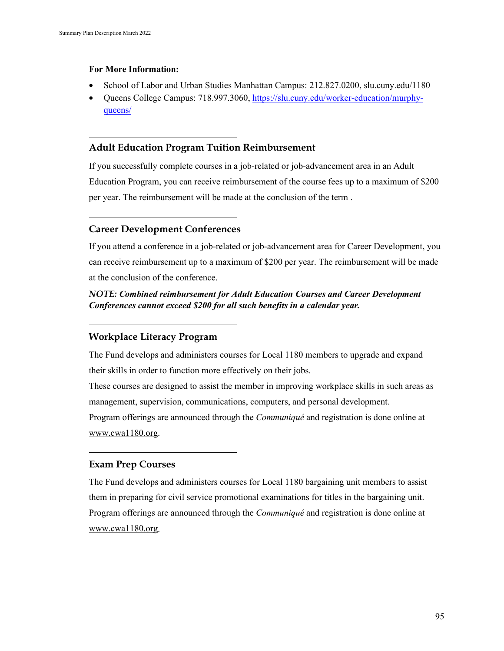#### **For More Information:**

- School of Labor and Urban Studies Manhattan Campus: 212.827.0200, slu.cuny.edu/1180
- Queens College Campus: 718.997.3060, [https://slu.cuny.edu/worker-education/murphy](https://slu.cuny.edu/worker-education/murphy-queens/)[queens/](https://slu.cuny.edu/worker-education/murphy-queens/)

### **Adult Education Program Tuition Reimbursement**

If you successfully complete courses in a job-related or job-advancement area in an Adult Education Program, you can receive reimbursement of the course fees up to a maximum of \$200 per year. The reimbursement will be made at the conclusion of the term .

### **Career Development Conferences**

If you attend a conference in a job-related or job-advancement area for Career Development, you can receive reimbursement up to a maximum of \$200 per year. The reimbursement will be made at the conclusion of the conference.

# *NOTE: Combined reimbursement for Adult Education Courses and Career Development Conferences cannot exceed \$200 for all such benefits in a calendar year.*

# **Workplace Literacy Program**

The Fund develops and administers courses for Local 1180 members to upgrade and expand their skills in order to function more effectively on their jobs.

These courses are designed to assist the member in improving workplace skills in such areas as management, supervision, communications, computers, and personal development.

Program offerings are announced through the *Communiqué* and registration is done online at [www.cwa1180.org.](http://www.cwa1180.org/)

### **Exam Prep Courses**

The Fund develops and administers courses for Local 1180 bargaining unit members to assist them in preparing for civil service promotional examinations for titles in the bargaining unit. Program offerings are announced through the *Communiqué* and registration is done online at [www.cwa1180.org.](http://www.cwa1180.org/)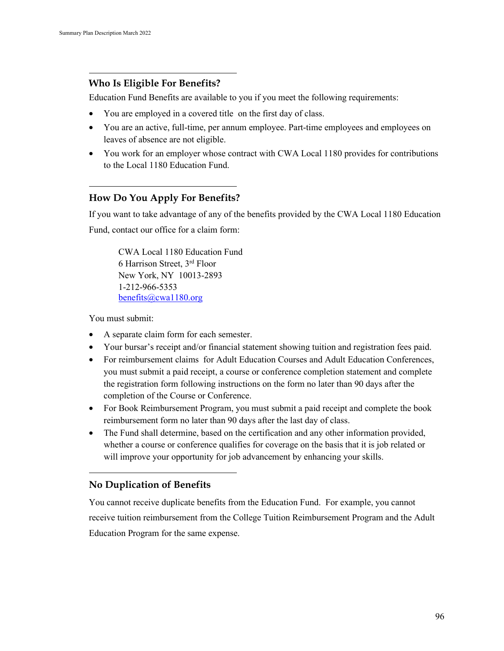# **Who Is Eligible For Benefits?**

Education Fund Benefits are available to you if you meet the following requirements:

- You are employed in a covered title on the first day of class.
- You are an active, full-time, per annum employee. Part-time employees and employees on leaves of absence are not eligible.
- You work for an employer whose contract with CWA Local 1180 provides for contributions to the Local 1180 Education Fund.

# **How Do You Apply For Benefits?**

If you want to take advantage of any of the benefits provided by the CWA Local 1180 Education Fund, contact our office for a claim form:

CWA Local 1180 Education Fund 6 Harrison Street, 3rd Floor New York, NY 10013-2893 1-212-966-5353 [benefits@cwa1180.org](mailto:benefits@cwa1180.org)

You must submit:

- A separate claim form for each semester.
- Your bursar's receipt and/or financial statement showing tuition and registration fees paid.
- For reimbursement claims for Adult Education Courses and Adult Education Conferences, you must submit a paid receipt, a course or conference completion statement and complete the registration form following instructions on the form no later than 90 days after the completion of the Course or Conference.
- For Book Reimbursement Program, you must submit a paid receipt and complete the book reimbursement form no later than 90 days after the last day of class.
- The Fund shall determine, based on the certification and any other information provided, whether a course or conference qualifies for coverage on the basis that it is job related or will improve your opportunity for job advancement by enhancing your skills.

# **No Duplication of Benefits**

You cannot receive duplicate benefits from the Education Fund. For example, you cannot receive tuition reimbursement from the College Tuition Reimbursement Program and the Adult Education Program for the same expense.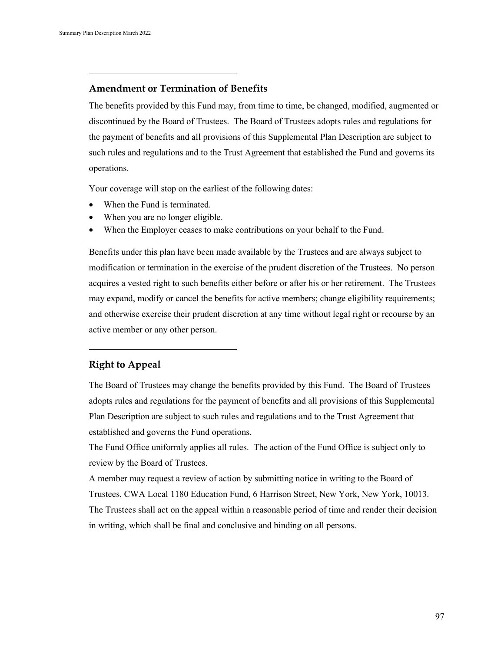## **Amendment or Termination of Benefits**

The benefits provided by this Fund may, from time to time, be changed, modified, augmented or discontinued by the Board of Trustees. The Board of Trustees adopts rules and regulations for the payment of benefits and all provisions of this Supplemental Plan Description are subject to such rules and regulations and to the Trust Agreement that established the Fund and governs its operations.

Your coverage will stop on the earliest of the following dates:

- When the Fund is terminated.
- When you are no longer eligible.
- When the Employer ceases to make contributions on your behalf to the Fund.

Benefits under this plan have been made available by the Trustees and are always subject to modification or termination in the exercise of the prudent discretion of the Trustees. No person acquires a vested right to such benefits either before or after his or her retirement. The Trustees may expand, modify or cancel the benefits for active members; change eligibility requirements; and otherwise exercise their prudent discretion at any time without legal right or recourse by an active member or any other person.

### **Right to Appeal**

The Board of Trustees may change the benefits provided by this Fund. The Board of Trustees adopts rules and regulations for the payment of benefits and all provisions of this Supplemental Plan Description are subject to such rules and regulations and to the Trust Agreement that established and governs the Fund operations.

The Fund Office uniformly applies all rules. The action of the Fund Office is subject only to review by the Board of Trustees.

A member may request a review of action by submitting notice in writing to the Board of Trustees, CWA Local 1180 Education Fund, 6 Harrison Street, New York, New York, 10013. The Trustees shall act on the appeal within a reasonable period of time and render their decision in writing, which shall be final and conclusive and binding on all persons.